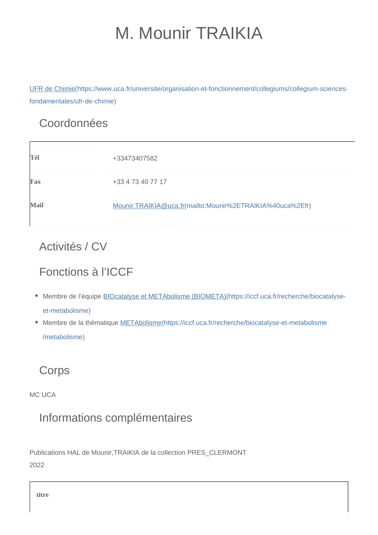# M. Mounir TRAIKIA

[UFR de Chimie\(https://www.uca.fr/universite/organisation-et-fonctionnement/collegiums/collegium-sciences](https://www.uca.fr/universite/organisation-et-fonctionnement/collegiums/collegium-sciences-fondamentales/ufr-de-chimie)[fondamentales/ufr-de-chimie\)](https://www.uca.fr/universite/organisation-et-fonctionnement/collegiums/collegium-sciences-fondamentales/ufr-de-chimie)

## Coordonnées

| Tél  | +33473407582                                              |
|------|-----------------------------------------------------------|
| Fax  | +33 4 73 40 77 17                                         |
| Mail | Mounir.TRAIKIA@uca.fr(mailto:Mounir%2ETRAIKIA%40uca%2Efr) |

## Activités / CV

## Fonctions à l'ICCF

- Membre de l'équipe **BIOcatalyse et METAbolisme** (BIOMETA)(https://iccf.uca.fr/recherche/biocatalyse[et-metabolisme\)](https://iccf.uca.fr/recherche/biocatalyse-et-metabolisme)
- Membre de la thématique [METAbolisme\(https://iccf.uca.fr/recherche/biocatalyse-et-metabolisme](https://iccf.uca.fr/recherche/biocatalyse-et-metabolisme/metabolisme) [/metabolisme\)](https://iccf.uca.fr/recherche/biocatalyse-et-metabolisme/metabolisme)

## **Corps**

MC LICA

## Informations complémentaires

Publications HAL de Mounir,TRAIKIA de la collection PRES\_CLERMONT 2022

**titre**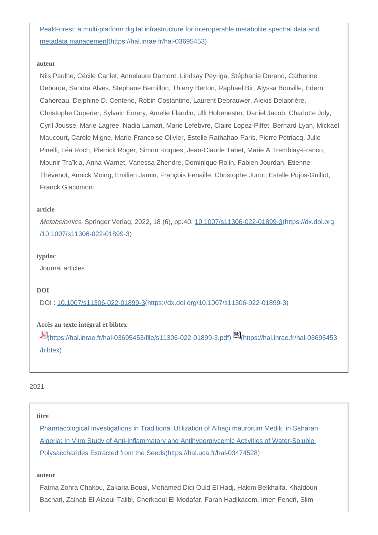## [PeakForest: a multi-platform digital infrastructure for interoperable metabolite spectral data and](https://hal.inrae.fr/hal-03695453)  [metadata management\(https://hal.inrae.fr/hal-03695453\)](https://hal.inrae.fr/hal-03695453)

#### **auteur**

Nils Paulhe, Cécile Canlet, Annelaure Damont, Lindsay Peyriga, Stéphanie Durand, Catherine Deborde, Sandra Alves, Stephane Bernillon, Thierry Berton, Raphael Bir, Alyssa Bouville, Edern Cahoreau, Delphine D. Centeno, Robin Costantino, Laurent Debrauwer, Alexis Delabrière, Christophe Duperier, Sylvain Emery, Amelie Flandin, Ulli Hohenester, Daniel Jacob, Charlotte Joly, Cyril Jousse, Marie Lagree, Nadia Lamari, Marie Lefebvre, Claire Lopez-Piffet, Bernard Lyan, Mickael Maucourt, Carole Migne, Marie-Francoise Olivier, Estelle Rathahao-Paris, Pierre Pétriacq, Julie Pinelli, Léa Roch, Pierrick Roger, Simon Roques, Jean-Claude Tabet, Marie A Tremblay-Franco, Mounir Traïkia, Anna Warnet, Vanessa Zhendre, Dominique Rolin, Fabien Jourdan, Etienne Thévenot, Annick Moing, Emilien Jamin, François Fenaille, Christophe Junot, Estelle Pujos-Guillot, Franck Giacomoni

#### **article**

Metabolomics, Springer Verlag, 2022, 18 (6), pp.40. [10.1007/s11306-022-01899-3\(https://dx.doi.org](https://dx.doi.org/10.1007/s11306-022-01899-3) [/10.1007/s11306-022-01899-3\)](https://dx.doi.org/10.1007/s11306-022-01899-3)

#### **typdoc**

Journal articles

#### **DOI**

DOI : [10.1007/s11306-022-01899-3\(https://dx.doi.org/10.1007/s11306-022-01899-3\)](https://dx.doi.org/10.1007/s11306-022-01899-3)

#### **Accès au texte intégral et bibtex**

[\(https://hal.inrae.fr/hal-03695453/file/s11306-022-01899-3.pdf\)](https://hal.inrae.fr/hal-03695453/file/s11306-022-01899-3.pdf) [\(https://hal.inrae.fr/hal-03695453](https://hal.inrae.fr/hal-03695453/bibtex) [/bibtex\)](https://hal.inrae.fr/hal-03695453/bibtex)

#### 2021

#### **titre**

[Pharmacological Investigations in Traditional Utilization of Alhagi maurorum Medik. in Saharan](https://hal.uca.fr/hal-03474528)  [Algeria: In Vitro Study of Anti-Inflammatory and Antihyperglycemic Activities of Water-Soluble](https://hal.uca.fr/hal-03474528)  [Polysaccharides Extracted from the Seeds\(https://hal.uca.fr/hal-03474528\)](https://hal.uca.fr/hal-03474528)

#### **auteur**

Fatma Zohra Chakou, Zakaria Boual, Mohamed Didi Ould El Hadj, Hakim Belkhalfa, Khaldoun Bachari, Zainab El Alaoui-Talibi, Cherkaoui El Modafar, Farah Hadjkacem, Imen Fendri, Slim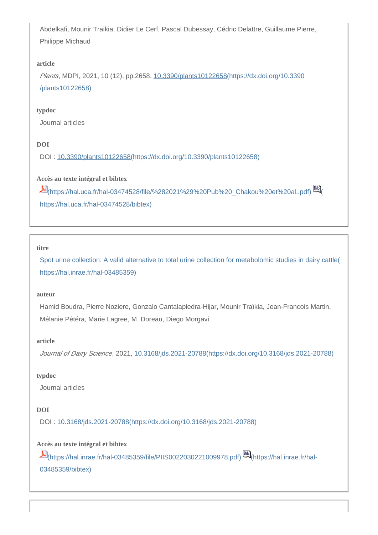Abdelkafi, Mounir Traikia, Didier Le Cerf, Pascal Dubessay, Cédric Delattre, Guillaume Pierre, Philippe Michaud

### **article**

Plants, MDPI, 2021, 10 (12), pp.2658. [10.3390/plants10122658\(https://dx.doi.org/10.3390](https://dx.doi.org/10.3390/plants10122658) [/plants10122658\)](https://dx.doi.org/10.3390/plants10122658)

### **typdoc**

Journal articles

## **DOI**

DOI : [10.3390/plants10122658\(https://dx.doi.org/10.3390/plants10122658\)](https://dx.doi.org/10.3390/plants10122658)

## **Accès au texte intégral et bibtex**

[\(https://hal.uca.fr/hal-03474528/file/%282021%29%20Pub%20\\_Chakou%20et%20al..pdf\)](https://hal.uca.fr/hal-03474528/file/%282021%29%20Pub%20_Chakou%20et%20al..pdf) [\(](https://hal.uca.fr/hal-03474528/bibtex) [https://hal.uca.fr/hal-03474528/bibtex\)](https://hal.uca.fr/hal-03474528/bibtex)

#### **titre**

[Spot urine collection: A valid alternative to total urine collection for metabolomic studies in dairy cattle\(](https://hal.inrae.fr/hal-03485359) [https://hal.inrae.fr/hal-03485359\)](https://hal.inrae.fr/hal-03485359)

#### **auteur**

Hamid Boudra, Pierre Noziere, Gonzalo Cantalapiedra-Hijar, Mounir Traïkia, Jean-Francois Martin, Mélanie Pétéra, Marie Lagree, M. Doreau, Diego Morgavi

## **article**

Journal of Dairy Science, 2021, [10.3168/jds.2021-20788\(https://dx.doi.org/10.3168/jds.2021-20788\)](https://dx.doi.org/10.3168/jds.2021-20788)

## **typdoc**

Journal articles

## **DOI**

DOI : [10.3168/jds.2021-20788\(https://dx.doi.org/10.3168/jds.2021-20788\)](https://dx.doi.org/10.3168/jds.2021-20788)

## **Accès au texte intégral et bibtex**

[\(https://hal.inrae.fr/hal-03485359/file/PIIS0022030221009978.pdf\)](https://hal.inrae.fr/hal-03485359/file/PIIS0022030221009978.pdf) [\(https://hal.inrae.fr/hal-](https://hal.inrae.fr/hal-03485359/bibtex)[03485359/bibtex\)](https://hal.inrae.fr/hal-03485359/bibtex)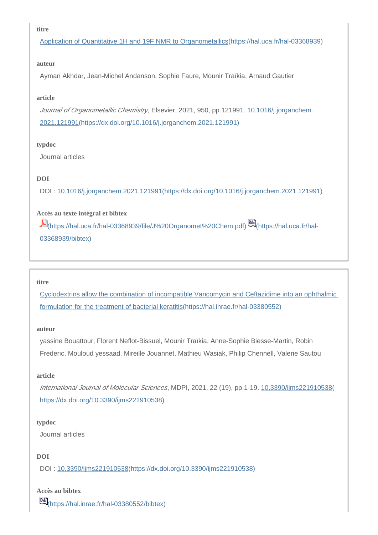#### **titre**

[Application of Quantitative 1H and 19F NMR to Organometallics\(https://hal.uca.fr/hal-03368939\)](https://hal.uca.fr/hal-03368939)

#### **auteur**

Ayman Akhdar, Jean-Michel Andanson, Sophie Faure, Mounir Traïkia, Arnaud Gautier

#### **article**

Journal of Organometallic Chemistry, Elsevier, 2021, 950, pp.121991, [10.1016/j.jorganchem.](https://dx.doi.org/10.1016/j.jorganchem.2021.121991) [2021.121991\(https://dx.doi.org/10.1016/j.jorganchem.2021.121991\)](https://dx.doi.org/10.1016/j.jorganchem.2021.121991)

#### **typdoc**

Journal articles

## **DOI**

DOI : [10.1016/j.jorganchem.2021.121991\(https://dx.doi.org/10.1016/j.jorganchem.2021.121991\)](https://dx.doi.org/10.1016/j.jorganchem.2021.121991)

## **Accès au texte intégral et bibtex**

[\(https://hal.uca.fr/hal-03368939/file/J%20Organomet%20Chem.pdf\)](https://hal.uca.fr/hal-03368939/file/J%20Organomet%20Chem.pdf) [\(https://hal.uca.fr/hal-](https://hal.uca.fr/hal-03368939/bibtex)[03368939/bibtex\)](https://hal.uca.fr/hal-03368939/bibtex)

#### **titre**

[Cyclodextrins allow the combination of incompatible Vancomycin and Ceftazidime into an ophthalmic](https://hal.inrae.fr/hal-03380552)  [formulation for the treatment of bacterial keratitis\(https://hal.inrae.fr/hal-03380552\)](https://hal.inrae.fr/hal-03380552)

#### **auteur**

yassine Bouattour, Florent Neflot-Bissuel, Mounir Traïkia, Anne-Sophie Biesse-Martin, Robin Frederic, Mouloud yessaad, Mireille Jouannet, Mathieu Wasiak, Philip Chennell, Valerie Sautou

#### **article**

International Journal of Molecular Sciences, MDPI, 2021, 22 (19), pp.1-19. [10.3390/ijms221910538\(](https://dx.doi.org/10.3390/ijms221910538) [https://dx.doi.org/10.3390/ijms221910538\)](https://dx.doi.org/10.3390/ijms221910538)

## **typdoc**

Journal articles

## **DOI**

DOI : [10.3390/ijms221910538\(https://dx.doi.org/10.3390/ijms221910538\)](https://dx.doi.org/10.3390/ijms221910538)

## **Accès au bibtex**

**BB**<sub>[\(https://hal.inrae.fr/hal-03380552/bibtex\)](https://hal.inrae.fr/hal-03380552/bibtex)</sub>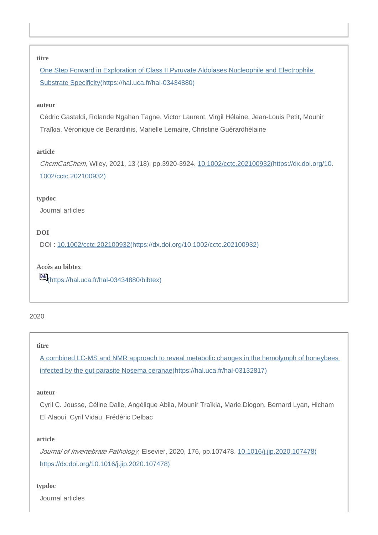#### **titre**

[One Step Forward in Exploration of Class II Pyruvate Aldolases Nucleophile and Electrophile](https://hal.uca.fr/hal-03434880)  [Substrate Specificity\(https://hal.uca.fr/hal-03434880\)](https://hal.uca.fr/hal-03434880)

#### **auteur**

Cédric Gastaldi, Rolande Ngahan Tagne, Victor Laurent, Virgil Hélaine, Jean-Louis Petit, Mounir Traïkia, Véronique de Berardinis, Marielle Lemaire, Christine Guérardhélaine

#### **article**

ChemCatChem, Wiley, 2021, 13 (18), pp.3920-3924. [10.1002/cctc.202100932\(https://dx.doi.org/10.](https://dx.doi.org/10.1002/cctc.202100932) [1002/cctc.202100932\)](https://dx.doi.org/10.1002/cctc.202100932)

#### **typdoc**

Journal articles

#### **DOI**

DOI : [10.1002/cctc.202100932\(https://dx.doi.org/10.1002/cctc.202100932\)](https://dx.doi.org/10.1002/cctc.202100932)

**Accès au bibtex** [\(https://hal.uca.fr/hal-03434880/bibtex\)](https://hal.uca.fr/hal-03434880/bibtex)

## 2020

#### **titre**

[A combined LC-MS and NMR approach to reveal metabolic changes in the hemolymph of honeybees](https://hal.uca.fr/hal-03132817)  [infected by the gut parasite Nosema ceranae\(https://hal.uca.fr/hal-03132817\)](https://hal.uca.fr/hal-03132817)

#### **auteur**

Cyril C. Jousse, Céline Dalle, Angélique Abila, Mounir Traïkia, Marie Diogon, Bernard Lyan, Hicham El Alaoui, Cyril Vidau, Frédéric Delbac

#### **article**

Journal of Invertebrate Pathology, Elsevier, 2020, 176, pp.107478. [10.1016/j.jip.2020.107478\(](https://dx.doi.org/10.1016/j.jip.2020.107478) [https://dx.doi.org/10.1016/j.jip.2020.107478\)](https://dx.doi.org/10.1016/j.jip.2020.107478)

#### **typdoc**

Journal articles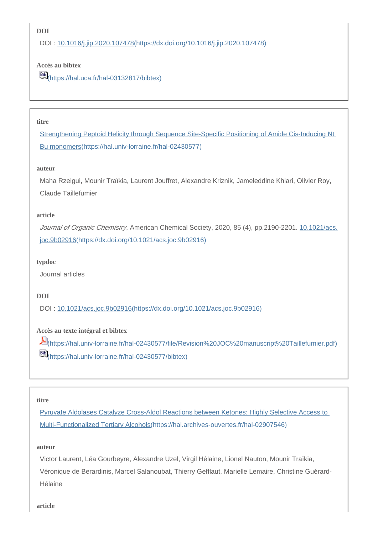## **DOI**

DOI : [10.1016/j.jip.2020.107478\(https://dx.doi.org/10.1016/j.jip.2020.107478\)](https://dx.doi.org/10.1016/j.jip.2020.107478)

## **Accès au bibtex**

[\(https://hal.uca.fr/hal-03132817/bibtex\)](https://hal.uca.fr/hal-03132817/bibtex)

## **titre**

[Strengthening Peptoid Helicity through Sequence Site-Specific Positioning of Amide Cis-Inducing Nt](https://hal.univ-lorraine.fr/hal-02430577)  [Bu monomers\(https://hal.univ-lorraine.fr/hal-02430577\)](https://hal.univ-lorraine.fr/hal-02430577)

#### **auteur**

Maha Rzeigui, Mounir Traïkia, Laurent Jouffret, Alexandre Kriznik, Jameleddine Khiari, Olivier Roy, Claude Taillefumier

### **article**

Journal of Organic Chemistry, American Chemical Society, 2020, 85 (4), pp.2190-2201. [10.1021/acs.](https://dx.doi.org/10.1021/acs.joc.9b02916) [joc.9b02916\(https://dx.doi.org/10.1021/acs.joc.9b02916\)](https://dx.doi.org/10.1021/acs.joc.9b02916)

#### **typdoc**

Journal articles

## **DOI**

DOI : [10.1021/acs.joc.9b02916\(https://dx.doi.org/10.1021/acs.joc.9b02916\)](https://dx.doi.org/10.1021/acs.joc.9b02916)

## **Accès au texte intégral et bibtex**

[\(https://hal.univ-lorraine.fr/hal-02430577/file/Revision%20JOC%20manuscript%20Taillefumier.pdf\)](https://hal.univ-lorraine.fr/hal-02430577/file/Revision%20JOC%20manuscript%20Taillefumier.pdf) [\(https://hal.univ-lorraine.fr/hal-02430577/bibtex\)](https://hal.univ-lorraine.fr/hal-02430577/bibtex)

#### **titre**

[Pyruvate Aldolases Catalyze Cross-Aldol Reactions between Ketones: Highly Selective Access to](https://hal.archives-ouvertes.fr/hal-02907546)  [Multi-Functionalized Tertiary Alcohols\(https://hal.archives-ouvertes.fr/hal-02907546\)](https://hal.archives-ouvertes.fr/hal-02907546)

## **auteur**

Victor Laurent, Léa Gourbeyre, Alexandre Uzel, Virgil Hélaine, Lionel Nauton, Mounir Traïkia, Véronique de Berardinis, Marcel Salanoubat, Thierry Gefflaut, Marielle Lemaire, Christine Guérard-Hélaine

**article**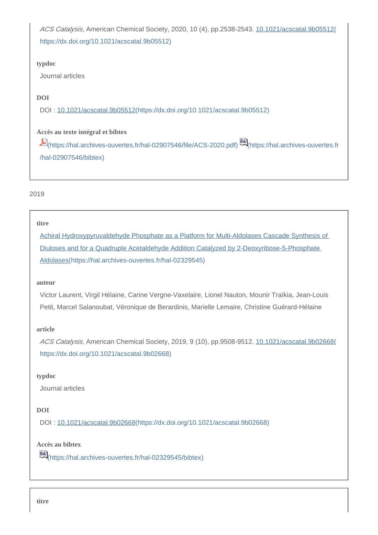ACS Catalysis, American Chemical Society, 2020, 10 (4), pp.2538-2543. [10.1021/acscatal.9b05512\(](https://dx.doi.org/10.1021/acscatal.9b05512) [https://dx.doi.org/10.1021/acscatal.9b05512\)](https://dx.doi.org/10.1021/acscatal.9b05512)

## **typdoc**

Journal articles

## **DOI**

DOI : [10.1021/acscatal.9b05512\(https://dx.doi.org/10.1021/acscatal.9b05512\)](https://dx.doi.org/10.1021/acscatal.9b05512)

## **Accès au texte intégral et bibtex**

[\(https://hal.archives-ouvertes.fr/hal-02907546/file/ACS-2020.pdf\)](https://hal.archives-ouvertes.fr/hal-02907546/file/ACS-2020.pdf) [\(https://hal.archives-ouvertes.fr](https://hal.archives-ouvertes.fr/hal-02907546/bibtex) [/hal-02907546/bibtex\)](https://hal.archives-ouvertes.fr/hal-02907546/bibtex)

## 2019

## **titre**

[Achiral Hydroxypyruvaldehyde Phosphate as a Platform for Multi-Aldolases Cascade Synthesis of](https://hal.archives-ouvertes.fr/hal-02329545)  [Diuloses and for a Quadruple Acetaldehyde Addition Catalyzed by 2-Deoxyribose-5-Phosphate](https://hal.archives-ouvertes.fr/hal-02329545)  [Aldolases\(https://hal.archives-ouvertes.fr/hal-02329545\)](https://hal.archives-ouvertes.fr/hal-02329545)

## **auteur**

Victor Laurent, Virgil Hélaine, Carine Vergne-Vaxelaire, Lionel Nauton, Mounir Traïkia, Jean-Louis Petit, Marcel Salanoubat, Véronique de Berardinis, Marielle Lemaire, Christine Guérard-Hélaine

## **article**

ACS Catalysis, American Chemical Society, 2019, 9 (10), pp.9508-9512. [10.1021/acscatal.9b02668\(](https://dx.doi.org/10.1021/acscatal.9b02668) [https://dx.doi.org/10.1021/acscatal.9b02668\)](https://dx.doi.org/10.1021/acscatal.9b02668)

## **typdoc**

Journal articles

## **DOI**

DOI : [10.1021/acscatal.9b02668\(https://dx.doi.org/10.1021/acscatal.9b02668\)](https://dx.doi.org/10.1021/acscatal.9b02668)

## **Accès au bibtex**

[\(https://hal.archives-ouvertes.fr/hal-02329545/bibtex\)](https://hal.archives-ouvertes.fr/hal-02329545/bibtex)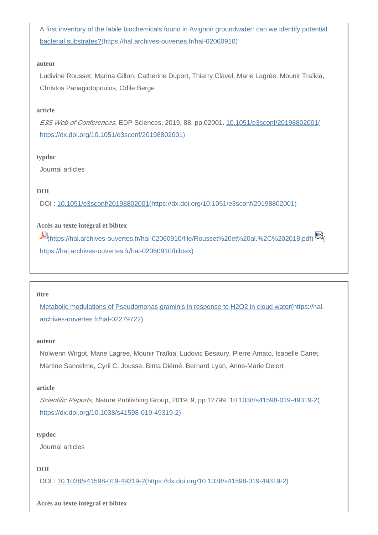A first inventory of the labile biochemicals found in Avignon groundwater: can we identify potential [bacterial substrates?\(https://hal.archives-ouvertes.fr/hal-02060910\)](https://hal.archives-ouvertes.fr/hal-02060910)

#### **auteur**

Ludivine Rousset, Marina Gillon, Catherine Duport, Thierry Clavel, Marie Lagrée, Mounir Traïkia, Christos Panagiotopoulos, Odile Berge

#### **article**

E3S Web of Conferences, EDP Sciences, 2019, 88, pp.02001. [10.1051/e3sconf/20198802001\(](https://dx.doi.org/10.1051/e3sconf/20198802001) [https://dx.doi.org/10.1051/e3sconf/20198802001\)](https://dx.doi.org/10.1051/e3sconf/20198802001)

#### **typdoc**

Journal articles

## **DOI**

DOI : [10.1051/e3sconf/20198802001\(https://dx.doi.org/10.1051/e3sconf/20198802001\)](https://dx.doi.org/10.1051/e3sconf/20198802001)

## **Accès au texte intégral et bibtex**

 $E$ [\(https://hal.archives-ouvertes.fr/hal-02060910/file/Rousset%20et%20al.%2C%202018.pdf\)](https://hal.archives-ouvertes.fr/hal-02060910/file/Rousset%20et%20al.%2C%202018.pdf)  $E$ [https://hal.archives-ouvertes.fr/hal-02060910/bibtex\)](https://hal.archives-ouvertes.fr/hal-02060910/bibtex)

#### **titre**

[Metabolic modulations of Pseudomonas graminis in response to H2O2 in cloud water\(https://hal.](https://hal.archives-ouvertes.fr/hal-02279722) [archives-ouvertes.fr/hal-02279722\)](https://hal.archives-ouvertes.fr/hal-02279722)

#### **auteur**

Nolwenn Wirgot, Marie Lagree, Mounir Traïkia, Ludovic Besaury, Pierre Amato, Isabelle Canet, Martine Sancelme, Cyril C. Jousse, Binta Diémé, Bernard Lyan, Anne-Marie Delort

#### **article**

Scientific Reports, Nature Publishing Group, 2019, 9, pp.12799. [10.1038/s41598-019-49319-2\(](https://dx.doi.org/10.1038/s41598-019-49319-2) [https://dx.doi.org/10.1038/s41598-019-49319-2\)](https://dx.doi.org/10.1038/s41598-019-49319-2)

## **typdoc**

Journal articles

## **DOI**

DOI : [10.1038/s41598-019-49319-2\(https://dx.doi.org/10.1038/s41598-019-49319-2\)](https://dx.doi.org/10.1038/s41598-019-49319-2)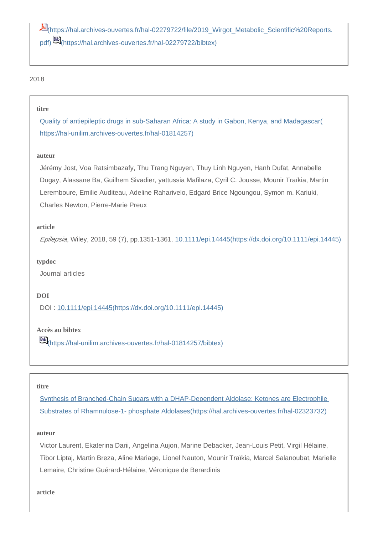[\(https://hal.archives-ouvertes.fr/hal-02279722/file/2019\\_Wirgot\\_Metabolic\\_Scientific%20Reports.](https://hal.archives-ouvertes.fr/hal-02279722/file/2019_Wirgot_Metabolic_Scientific%20Reports.pdf) [pdf\)](https://hal.archives-ouvertes.fr/hal-02279722/file/2019_Wirgot_Metabolic_Scientific%20Reports.pdf) [\(https://hal.archives-ouvertes.fr/hal-02279722/bibtex\)](https://hal.archives-ouvertes.fr/hal-02279722/bibtex)

## 2018

#### **titre**

[Quality of antiepileptic drugs in sub-Saharan Africa: A study in Gabon, Kenya, and Madagascar\(](https://hal-unilim.archives-ouvertes.fr/hal-01814257) [https://hal-unilim.archives-ouvertes.fr/hal-01814257\)](https://hal-unilim.archives-ouvertes.fr/hal-01814257)

#### **auteur**

Jérémy Jost, Voa Ratsimbazafy, Thu Trang Nguyen, Thuy Linh Nguyen, Hanh Dufat, Annabelle Dugay, Alassane Ba, Guilhem Sivadier, yattussia Mafilaza, Cyril C. Jousse, Mounir Traïkia, Martin Leremboure, Emilie Auditeau, Adeline Raharivelo, Edgard Brice Ngoungou, Symon m. Kariuki, Charles Newton, Pierre-Marie Preux

#### **article**

Epilepsia, Wiley, 2018, 59 (7), pp.1351-1361. [10.1111/epi.14445\(https://dx.doi.org/10.1111/epi.14445\)](https://dx.doi.org/10.1111/epi.14445)

#### **typdoc**

Journal articles

#### **DOI**

DOI : [10.1111/epi.14445\(https://dx.doi.org/10.1111/epi.14445\)](https://dx.doi.org/10.1111/epi.14445)

## **Accès au bibtex**

[\(https://hal-unilim.archives-ouvertes.fr/hal-01814257/bibtex\)](https://hal-unilim.archives-ouvertes.fr/hal-01814257/bibtex)

#### **titre**

[Synthesis of Branched-Chain Sugars with a DHAP-Dependent Aldolase: Ketones are Electrophile](https://hal.archives-ouvertes.fr/hal-02323732)  [Substrates of Rhamnulose-1- phosphate Aldolases\(https://hal.archives-ouvertes.fr/hal-02323732\)](https://hal.archives-ouvertes.fr/hal-02323732)

#### **auteur**

Victor Laurent, Ekaterina Darii, Angelina Aujon, Marine Debacker, Jean-Louis Petit, Virgil Hélaine, Tibor Liptaj, Martin Breza, Aline Mariage, Lionel Nauton, Mounir Traïkia, Marcel Salanoubat, Marielle Lemaire, Christine Guérard-Hélaine, Véronique de Berardinis

#### **article**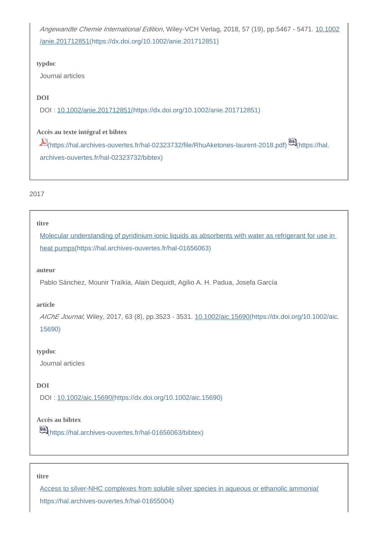Angewandte Chemie International Edition, Wiley-VCH Verlag, 2018, 57 (19), pp.5467 - 5471. [10.1002](https://dx.doi.org/10.1002/anie.201712851) [/anie.201712851\(https://dx.doi.org/10.1002/anie.201712851\)](https://dx.doi.org/10.1002/anie.201712851)

#### **typdoc**

Journal articles

## **DOI**

DOI : [10.1002/anie.201712851\(https://dx.doi.org/10.1002/anie.201712851\)](https://dx.doi.org/10.1002/anie.201712851)

## **Accès au texte intégral et bibtex**

[\(https://hal.archives-ouvertes.fr/hal-02323732/file/RhuAketones-laurent-2018.pdf\)](https://hal.archives-ouvertes.fr/hal-02323732/file/RhuAketones-laurent-2018.pdf) [\(https://hal.](https://hal.archives-ouvertes.fr/hal-02323732/bibtex) [archives-ouvertes.fr/hal-02323732/bibtex\)](https://hal.archives-ouvertes.fr/hal-02323732/bibtex)

## 2017

#### **titre**

[Molecular understanding of pyridinium ionic liquids as absorbents with water as refrigerant for use in](https://hal.archives-ouvertes.fr/hal-01656063)  [heat pumps\(https://hal.archives-ouvertes.fr/hal-01656063\)](https://hal.archives-ouvertes.fr/hal-01656063)

#### **auteur**

Pablo Sánchez, Mounir Traïkia, Alain Dequidt, Agilio A. H. Padua, Josefa García

#### **article**

AIChE Journal, Wiley, 2017, 63 (8), pp.3523 - 3531. [10.1002/aic.15690\(https://dx.doi.org/10.1002/aic.](https://dx.doi.org/10.1002/aic.15690) [15690\)](https://dx.doi.org/10.1002/aic.15690)

#### **typdoc**

Journal articles

## **DOI**

DOI : [10.1002/aic.15690\(https://dx.doi.org/10.1002/aic.15690\)](https://dx.doi.org/10.1002/aic.15690)

## **Accès au bibtex**

[6] [\(https://hal.archives-ouvertes.fr/hal-01656063/bibtex\)](https://hal.archives-ouvertes.fr/hal-01656063/bibtex)

#### **titre**

[Access to silver-NHC complexes from soluble silver species in aqueous or ethanolic ammonia\(](https://hal.archives-ouvertes.fr/hal-01655004) [https://hal.archives-ouvertes.fr/hal-01655004\)](https://hal.archives-ouvertes.fr/hal-01655004)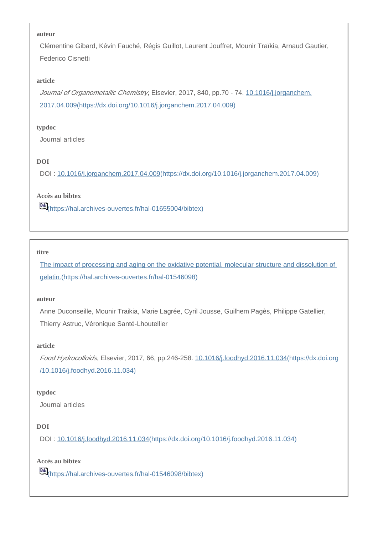#### **auteur**

Clémentine Gibard, Kévin Fauché, Régis Guillot, Laurent Jouffret, Mounir Traïkia, Arnaud Gautier, Federico Cisnetti

#### **article**

Journal of Organometallic Chemistry, Elsevier, 2017, 840, pp.70 - 74. [10.1016/j.jorganchem.](https://dx.doi.org/10.1016/j.jorganchem.2017.04.009) [2017.04.009\(https://dx.doi.org/10.1016/j.jorganchem.2017.04.009\)](https://dx.doi.org/10.1016/j.jorganchem.2017.04.009)

#### **typdoc**

Journal articles

## **DOI**

DOI : [10.1016/j.jorganchem.2017.04.009\(https://dx.doi.org/10.1016/j.jorganchem.2017.04.009\)](https://dx.doi.org/10.1016/j.jorganchem.2017.04.009)

#### **Accès au bibtex**

[\(https://hal.archives-ouvertes.fr/hal-01655004/bibtex\)](https://hal.archives-ouvertes.fr/hal-01655004/bibtex)

#### **titre**

[The impact of processing and aging on the oxidative potential, molecular structure and dissolution of](https://hal.archives-ouvertes.fr/hal-01546098)  [gelatin.\(https://hal.archives-ouvertes.fr/hal-01546098\)](https://hal.archives-ouvertes.fr/hal-01546098)

#### **auteur**

Anne Duconseille, Mounir Traikia, Marie Lagrée, Cyril Jousse, Guilhem Pagès, Philippe Gatellier, Thierry Astruc, Véronique Santé-Lhoutellier

#### **article**

Food Hydrocolloids, Elsevier, 2017, 66, pp.246-258. [10.1016/j.foodhyd.2016.11.034\(https://dx.doi.org](https://dx.doi.org/10.1016/j.foodhyd.2016.11.034) [/10.1016/j.foodhyd.2016.11.034\)](https://dx.doi.org/10.1016/j.foodhyd.2016.11.034)

#### **typdoc**

Journal articles

## **DOI**

DOI : [10.1016/j.foodhyd.2016.11.034\(https://dx.doi.org/10.1016/j.foodhyd.2016.11.034\)](https://dx.doi.org/10.1016/j.foodhyd.2016.11.034)

**Accès au bibtex**

[\(https://hal.archives-ouvertes.fr/hal-01546098/bibtex\)](https://hal.archives-ouvertes.fr/hal-01546098/bibtex)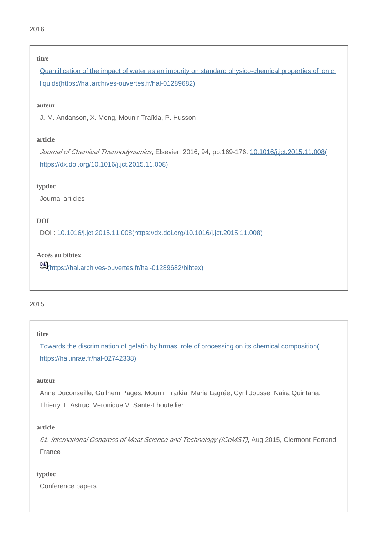#### **titre**

[Quantification of the impact of water as an impurity on standard physico-chemical properties of ionic](https://hal.archives-ouvertes.fr/hal-01289682)  [liquids\(https://hal.archives-ouvertes.fr/hal-01289682\)](https://hal.archives-ouvertes.fr/hal-01289682)

#### **auteur**

J.-M. Andanson, X. Meng, Mounir Traïkia, P. Husson

### **article**

Journal of Chemical Thermodynamics, Elsevier, 2016, 94, pp.169-176. [10.1016/j.jct.2015.11.008\(](https://dx.doi.org/10.1016/j.jct.2015.11.008) [https://dx.doi.org/10.1016/j.jct.2015.11.008\)](https://dx.doi.org/10.1016/j.jct.2015.11.008)

#### **typdoc**

Journal articles

## **DOI**

DOI : [10.1016/j.jct.2015.11.008\(https://dx.doi.org/10.1016/j.jct.2015.11.008\)](https://dx.doi.org/10.1016/j.jct.2015.11.008)

## **Accès au bibtex**

[6] [\(https://hal.archives-ouvertes.fr/hal-01289682/bibtex\)](https://hal.archives-ouvertes.fr/hal-01289682/bibtex)

### 2015

#### **titre**

[Towards the discrimination of gelatin by hrmas: role of processing on its chemical composition\(](https://hal.inrae.fr/hal-02742338) [https://hal.inrae.fr/hal-02742338\)](https://hal.inrae.fr/hal-02742338)

#### **auteur**

Anne Duconseille, Guilhem Pages, Mounir Traïkia, Marie Lagrée, Cyril Jousse, Naira Quintana, Thierry T. Astruc, Veronique V. Sante-Lhoutellier

## **article**

61. International Congress of Meat Science and Technology (ICoMST), Aug 2015, Clermont-Ferrand, France

#### **typdoc**

Conference papers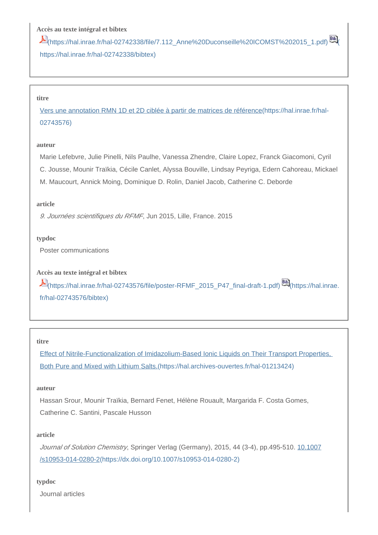## **Accès au texte intégral et bibtex**

 $E$ [\(https://hal.inrae.fr/hal-02742338/file/7.112\\_Anne%20Duconseille%20ICOMST%202015\\_1.pdf\)](https://hal.inrae.fr/hal-02742338/file/7.112_Anne%20Duconseille%20ICOMST%202015_1.pdf) [60] [https://hal.inrae.fr/hal-02742338/bibtex\)](https://hal.inrae.fr/hal-02742338/bibtex)

#### **titre**

[Vers une annotation RMN 1D et 2D ciblée à partir de matrices de référence\(https://hal.inrae.fr/hal-](https://hal.inrae.fr/hal-02743576)[02743576\)](https://hal.inrae.fr/hal-02743576)

#### **auteur**

Marie Lefebvre, Julie Pinelli, Nils Paulhe, Vanessa Zhendre, Claire Lopez, Franck Giacomoni, Cyril C. Jousse, Mounir Traïkia, Cécile Canlet, Alyssa Bouville, Lindsay Peyriga, Edern Cahoreau, Mickael M. Maucourt, Annick Moing, Dominique D. Rolin, Daniel Jacob, Catherine C. Deborde

#### **article**

9. Journées scientifiques du RFMF, Jun 2015, Lille, France. 2015

#### **typdoc**

Poster communications

#### **Accès au texte intégral et bibtex**

[\(https://hal.inrae.fr/hal-02743576/file/poster-RFMF\\_2015\\_P47\\_final-draft-1.pdf\)](https://hal.inrae.fr/hal-02743576/file/poster-RFMF_2015_P47_final-draft-1.pdf) [\(https://hal.inrae.](https://hal.inrae.fr/hal-02743576/bibtex) [fr/hal-02743576/bibtex\)](https://hal.inrae.fr/hal-02743576/bibtex)

#### **titre**

[Effect of Nitrile-Functionalization of Imidazolium-Based Ionic Liquids on Their Transport Properties,](https://hal.archives-ouvertes.fr/hal-01213424)  [Both Pure and Mixed with Lithium Salts.\(https://hal.archives-ouvertes.fr/hal-01213424\)](https://hal.archives-ouvertes.fr/hal-01213424)

#### **auteur**

Hassan Srour, Mounir Traïkia, Bernard Fenet, Hélène Rouault, Margarida F. Costa Gomes, Catherine C. Santini, Pascale Husson

#### **article**

Journal of Solution Chemistry, Springer Verlag (Germany), 2015, 44 (3-4), pp.495-510. [10.1007](https://dx.doi.org/10.1007/s10953-014-0280-2) [/s10953-014-0280-2\(https://dx.doi.org/10.1007/s10953-014-0280-2\)](https://dx.doi.org/10.1007/s10953-014-0280-2)

#### **typdoc**

Journal articles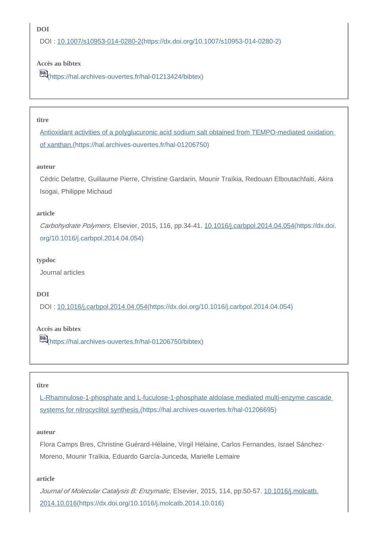## **DOI**

DOI : [10.1007/s10953-014-0280-2\(https://dx.doi.org/10.1007/s10953-014-0280-2\)](https://dx.doi.org/10.1007/s10953-014-0280-2)

## **Accès au bibtex**

[\(https://hal.archives-ouvertes.fr/hal-01213424/bibtex\)](https://hal.archives-ouvertes.fr/hal-01213424/bibtex)

#### **titre**

[Antioxidant activities of a polyglucuronic acid sodium salt obtained from TEMPO-mediated oxidation](https://hal.archives-ouvertes.fr/hal-01206750)  [of xanthan.\(https://hal.archives-ouvertes.fr/hal-01206750\)](https://hal.archives-ouvertes.fr/hal-01206750)

#### **auteur**

Cédric Delattre, Guillaume Pierre, Christine Gardarin, Mounir Traïkia, Redouan Elboutachfaiti, Akira Isogai, Philippe Michaud

#### **article**

Carbohydrate Polymers, Elsevier, 2015, 116, pp.34-41. [10.1016/j.carbpol.2014.04.054\(https://dx.doi.](https://dx.doi.org/10.1016/j.carbpol.2014.04.054) [org/10.1016/j.carbpol.2014.04.054\)](https://dx.doi.org/10.1016/j.carbpol.2014.04.054)

#### **typdoc**

Journal articles

#### **DOI**

DOI : [10.1016/j.carbpol.2014.04.054\(https://dx.doi.org/10.1016/j.carbpol.2014.04.054\)](https://dx.doi.org/10.1016/j.carbpol.2014.04.054)

## **Accès au bibtex**

[\(https://hal.archives-ouvertes.fr/hal-01206750/bibtex\)](https://hal.archives-ouvertes.fr/hal-01206750/bibtex)

#### **titre**

[L-Rhamnulose-1-phosphate and L-fuculose-1-phosphate aldolase mediated multi-enzyme cascade](https://hal.archives-ouvertes.fr/hal-01206695)  [systems for nitrocyclitol synthesis.\(https://hal.archives-ouvertes.fr/hal-01206695\)](https://hal.archives-ouvertes.fr/hal-01206695)

#### **auteur**

Flora Camps Bres, Christine Guérard-Hélaine, Virgil Hélaine, Carlos Fernandes, Israel Sánchez-Moreno, Mounir Traïkia, Eduardo García-Junceda, Marielle Lemaire

#### **article**

Journal of Molecular Catalysis B: Enzymatic, Elsevier, 2015, 114, pp.50-57. [10.1016/j.molcatb.](https://dx.doi.org/10.1016/j.molcatb.2014.10.016) [2014.10.016\(https://dx.doi.org/10.1016/j.molcatb.2014.10.016\)](https://dx.doi.org/10.1016/j.molcatb.2014.10.016)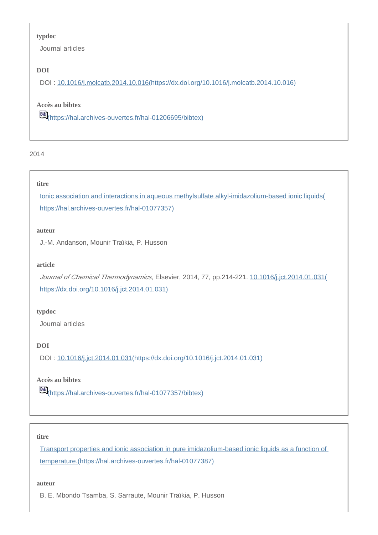#### **typdoc**

Journal articles

## **DOI**

DOI : [10.1016/j.molcatb.2014.10.016\(https://dx.doi.org/10.1016/j.molcatb.2014.10.016\)](https://dx.doi.org/10.1016/j.molcatb.2014.10.016)

## **Accès au bibtex**

[\(https://hal.archives-ouvertes.fr/hal-01206695/bibtex\)](https://hal.archives-ouvertes.fr/hal-01206695/bibtex)

#### 2014

## **titre**

[Ionic association and interactions in aqueous methylsulfate alkyl-imidazolium-based ionic liquids\(](https://hal.archives-ouvertes.fr/hal-01077357) [https://hal.archives-ouvertes.fr/hal-01077357\)](https://hal.archives-ouvertes.fr/hal-01077357)

#### **auteur**

J.-M. Andanson, Mounir Traïkia, P. Husson

## **article**

Journal of Chemical Thermodynamics, Elsevier, 2014, 77, pp.214-221. [10.1016/j.jct.2014.01.031\(](https://dx.doi.org/10.1016/j.jct.2014.01.031) [https://dx.doi.org/10.1016/j.jct.2014.01.031\)](https://dx.doi.org/10.1016/j.jct.2014.01.031)

#### **typdoc**

Journal articles

## **DOI**

DOI : [10.1016/j.jct.2014.01.031\(https://dx.doi.org/10.1016/j.jct.2014.01.031\)](https://dx.doi.org/10.1016/j.jct.2014.01.031)

## **Accès au bibtex**

[\(https://hal.archives-ouvertes.fr/hal-01077357/bibtex\)](https://hal.archives-ouvertes.fr/hal-01077357/bibtex)

#### **titre**

[Transport properties and ionic association in pure imidazolium-based ionic liquids as a function of](https://hal.archives-ouvertes.fr/hal-01077387)  [temperature.\(https://hal.archives-ouvertes.fr/hal-01077387\)](https://hal.archives-ouvertes.fr/hal-01077387)

#### **auteur**

B. E. Mbondo Tsamba, S. Sarraute, Mounir Traïkia, P. Husson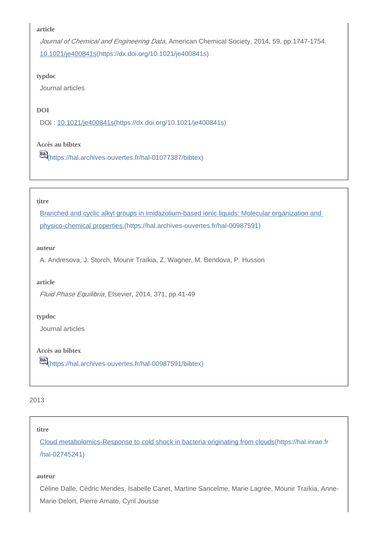Journal of Chemical and Engineering Data, American Chemical Society, 2014, 59, pp.1747-1754. [10.1021/je400841s\(https://dx.doi.org/10.1021/je400841s\)](https://dx.doi.org/10.1021/je400841s)

#### **typdoc**

Journal articles

#### **DOI**

DOI : [10.1021/je400841s\(https://dx.doi.org/10.1021/je400841s\)](https://dx.doi.org/10.1021/je400841s)

## **Accès au bibtex**

[\(https://hal.archives-ouvertes.fr/hal-01077387/bibtex\)](https://hal.archives-ouvertes.fr/hal-01077387/bibtex)

#### **titre**

[Branched and cyclic alkyl groups in imidazolium-based ionic liquids: Molecular organization and](https://hal.archives-ouvertes.fr/hal-00987591)  [physico-chemical properties.\(https://hal.archives-ouvertes.fr/hal-00987591\)](https://hal.archives-ouvertes.fr/hal-00987591)

#### **auteur**

A. Andresova, J. Storch, Mounir Traïkia, Z. Wagner, M. Bendova, P. Husson

#### **article**

Fluid Phase Equilibria, Elsevier, 2014, 371, pp.41-49

#### **typdoc**

Journal articles

**Accès au bibtex**

[66]<br>[\(https://hal.archives-ouvertes.fr/hal-00987591/bibtex\)](https://hal.archives-ouvertes.fr/hal-00987591/bibtex)

## 2013

#### **titre**

[Cloud metabolomics-Response to cold shock in bacteria originating from clouds\(https://hal.inrae.fr](https://hal.inrae.fr/hal-02745241) [/hal-02745241\)](https://hal.inrae.fr/hal-02745241)

#### **auteur**

Céline Dalle, Cédric Mendes, Isabelle Canet, Martine Sancelme, Marie Lagrée, Mounir Traïkia, Anne-Marie Delort, Pierre Amato, Cyril Jousse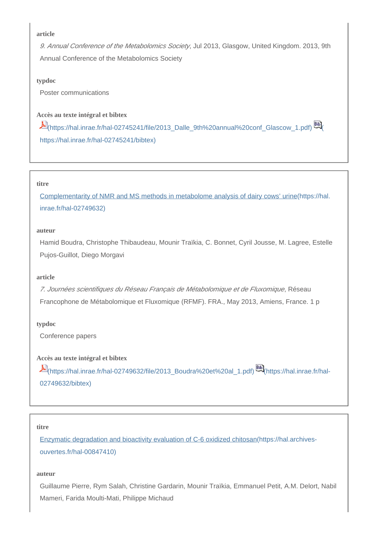9. Annual Conference of the Metabolomics Society, Jul 2013, Glasgow, United Kingdom. 2013, 9th Annual Conference of the Metabolomics Society

#### **typdoc**

Poster communications

## **Accès au texte intégral et bibtex**

[\(https://hal.inrae.fr/hal-02745241/file/2013\\_Dalle\\_9th%20annual%20conf\\_Glascow\\_1.pdf\)](https://hal.inrae.fr/hal-02745241/file/2013_Dalle_9th%20annual%20conf_Glascow_1.pdf) [\(](https://hal.inrae.fr/hal-02745241/bibtex) [https://hal.inrae.fr/hal-02745241/bibtex\)](https://hal.inrae.fr/hal-02745241/bibtex)

#### **titre**

[Complementarity of NMR and MS methods in metabolome analysis of dairy cows' urine\(https://hal.](https://hal.inrae.fr/hal-02749632) [inrae.fr/hal-02749632\)](https://hal.inrae.fr/hal-02749632)

#### **auteur**

Hamid Boudra, Christophe Thibaudeau, Mounir Traïkia, C. Bonnet, Cyril Jousse, M. Lagree, Estelle Pujos-Guillot, Diego Morgavi

#### **article**

7. Journées scientifiques du Réseau Français de Métabolomique et de Fluxomique, Réseau Francophone de Métabolomique et Fluxomique (RFMF). FRA., May 2013, Amiens, France. 1 p

#### **typdoc**

Conference papers

### **Accès au texte intégral et bibtex**

[\(https://hal.inrae.fr/hal-02749632/file/2013\\_Boudra%20et%20al\\_1.pdf\)](https://hal.inrae.fr/hal-02749632/file/2013_Boudra%20et%20al_1.pdf) [\(https://hal.inrae.fr/hal-](https://hal.inrae.fr/hal-02749632/bibtex)[02749632/bibtex\)](https://hal.inrae.fr/hal-02749632/bibtex)

#### **titre**

[Enzymatic degradation and bioactivity evaluation of C-6 oxidized chitosan\(https://hal.archives](https://hal.archives-ouvertes.fr/hal-00847410)[ouvertes.fr/hal-00847410\)](https://hal.archives-ouvertes.fr/hal-00847410)

#### **auteur**

Guillaume Pierre, Rym Salah, Christine Gardarin, Mounir Traïkia, Emmanuel Petit, A.M. Delort, Nabil Mameri, Farida Moulti-Mati, Philippe Michaud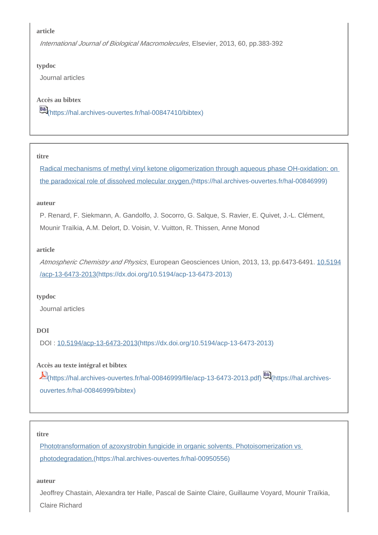International Journal of Biological Macromolecules, Elsevier, 2013, 60, pp.383-392

#### **typdoc**

Journal articles

## **Accès au bibtex**

[\(https://hal.archives-ouvertes.fr/hal-00847410/bibtex\)](https://hal.archives-ouvertes.fr/hal-00847410/bibtex)

#### **titre**

[Radical mechanisms of methyl vinyl ketone oligomerization through aqueous phase OH-oxidation: on](https://hal.archives-ouvertes.fr/hal-00846999)  [the paradoxical role of dissolved molecular oxygen.\(https://hal.archives-ouvertes.fr/hal-00846999\)](https://hal.archives-ouvertes.fr/hal-00846999)

## **auteur**

P. Renard, F. Siekmann, A. Gandolfo, J. Socorro, G. Salque, S. Ravier, E. Quivet, J.-L. Clément, Mounir Traïkia, A.M. Delort, D. Voisin, V. Vuitton, R. Thissen, Anne Monod

## **article**

Atmospheric Chemistry and Physics, European Geosciences Union, 2013, 13, pp.6473-6491. [10.5194](https://dx.doi.org/10.5194/acp-13-6473-2013) [/acp-13-6473-2013\(https://dx.doi.org/10.5194/acp-13-6473-2013\)](https://dx.doi.org/10.5194/acp-13-6473-2013)

## **typdoc**

Journal articles

## **DOI**

DOI : [10.5194/acp-13-6473-2013\(https://dx.doi.org/10.5194/acp-13-6473-2013\)](https://dx.doi.org/10.5194/acp-13-6473-2013)

## **Accès au texte intégral et bibtex**

[\(https://hal.archives-ouvertes.fr/hal-00846999/file/acp-13-6473-2013.pdf\)](https://hal.archives-ouvertes.fr/hal-00846999/file/acp-13-6473-2013.pdf) [\(https://hal.archives](https://hal.archives-ouvertes.fr/hal-00846999/bibtex)[ouvertes.fr/hal-00846999/bibtex\)](https://hal.archives-ouvertes.fr/hal-00846999/bibtex)

## **titre**

[Phototransformation of azoxystrobin fungicide in organic solvents. Photoisomerization vs](https://hal.archives-ouvertes.fr/hal-00950556)  [photodegradation.\(https://hal.archives-ouvertes.fr/hal-00950556\)](https://hal.archives-ouvertes.fr/hal-00950556)

#### **auteur**

Jeoffrey Chastain, Alexandra ter Halle, Pascal de Sainte Claire, Guillaume Voyard, Mounir Traïkia, Claire Richard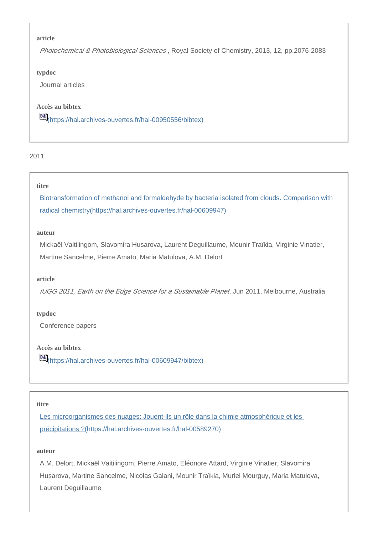Photochemical & Photobiological Sciences, Royal Society of Chemistry, 2013, 12, pp.2076-2083

**typdoc**

Journal articles

**Accès au bibtex**

[6] [\(https://hal.archives-ouvertes.fr/hal-00950556/bibtex\)](https://hal.archives-ouvertes.fr/hal-00950556/bibtex)

2011

#### **titre**

[Biotransformation of methanol and formaldehyde by bacteria isolated from clouds. Comparison with](https://hal.archives-ouvertes.fr/hal-00609947)  [radical chemistry\(https://hal.archives-ouvertes.fr/hal-00609947\)](https://hal.archives-ouvertes.fr/hal-00609947)

### **auteur**

Mickaël Vaitilingom, Slavomira Husarova, Laurent Deguillaume, Mounir Traïkia, Virginie Vinatier, Martine Sancelme, Pierre Amato, Maria Matulova, A.M. Delort

#### **article**

IUGG 2011, Earth on the Edge Science for a Sustainable Planet, Jun 2011, Melbourne, Australia

**typdoc**

Conference papers

**Accès au bibtex**

[\(https://hal.archives-ouvertes.fr/hal-00609947/bibtex\)](https://hal.archives-ouvertes.fr/hal-00609947/bibtex)

#### **titre**

Les microorganismes des nuages: Jouent-ils un rôle dans la chimie atmosphérique et les [précipitations ?\(https://hal.archives-ouvertes.fr/hal-00589270\)](https://hal.archives-ouvertes.fr/hal-00589270)

#### **auteur**

A.M. Delort, Mickaël Vaitilingom, Pierre Amato, Eléonore Attard, Virginie Vinatier, Slavomira Husarova, Martine Sancelme, Nicolas Gaiani, Mounir Traïkia, Muriel Mourguy, Maria Matulova, Laurent Deguillaume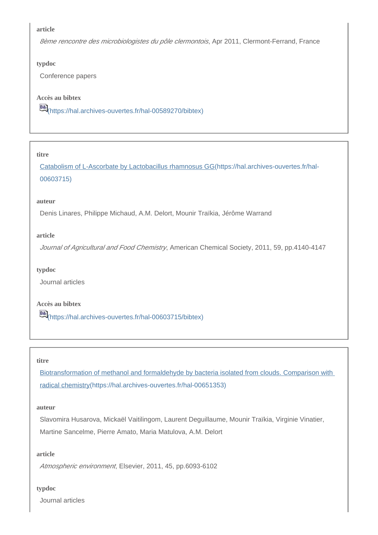8ème rencontre des microbiologistes du pôle clermontois, Apr 2011, Clermont-Ferrand, France

#### **typdoc**

Conference papers

#### **Accès au bibtex**

[\(https://hal.archives-ouvertes.fr/hal-00589270/bibtex\)](https://hal.archives-ouvertes.fr/hal-00589270/bibtex)

#### **titre**

[Catabolism of L-Ascorbate by Lactobacillus rhamnosus GG\(https://hal.archives-ouvertes.fr/hal-](https://hal.archives-ouvertes.fr/hal-00603715)[00603715\)](https://hal.archives-ouvertes.fr/hal-00603715)

#### **auteur**

Denis Linares, Philippe Michaud, A.M. Delort, Mounir Traïkia, Jérôme Warrand

#### **article**

Journal of Agricultural and Food Chemistry, American Chemical Society, 2011, 59, pp.4140-4147

#### **typdoc**

Journal articles

## **Accès au bibtex**

[\(https://hal.archives-ouvertes.fr/hal-00603715/bibtex\)](https://hal.archives-ouvertes.fr/hal-00603715/bibtex)

#### **titre**

[Biotransformation of methanol and formaldehyde by bacteria isolated from clouds. Comparison with](https://hal.archives-ouvertes.fr/hal-00651353)  [radical chemistry\(https://hal.archives-ouvertes.fr/hal-00651353\)](https://hal.archives-ouvertes.fr/hal-00651353)

#### **auteur**

Slavomira Husarova, Mickaël Vaitilingom, Laurent Deguillaume, Mounir Traïkia, Virginie Vinatier, Martine Sancelme, Pierre Amato, Maria Matulova, A.M. Delort

#### **article**

Atmospheric environment, Elsevier, 2011, 45, pp.6093-6102

#### **typdoc**

Journal articles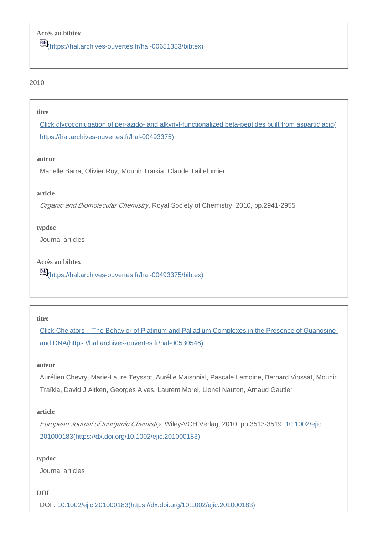#### **titre**

[Click glycoconjugation of per-azido- and alkynyl-functionalized beta-peptides built from aspartic acid\(](https://hal.archives-ouvertes.fr/hal-00493375) [https://hal.archives-ouvertes.fr/hal-00493375\)](https://hal.archives-ouvertes.fr/hal-00493375)

#### **auteur**

Marielle Barra, Olivier Roy, Mounir Traïkia, Claude Taillefumier

#### **article**

Organic and Biomolecular Chemistry, Royal Society of Chemistry, 2010, pp.2941-2955

#### **typdoc**

Journal articles

**Accès au bibtex**

[\(https://hal.archives-ouvertes.fr/hal-00493375/bibtex\)](https://hal.archives-ouvertes.fr/hal-00493375/bibtex)

#### **titre**

[Click Chelators – The Behavior of Platinum and Palladium Complexes in the Presence of Guanosine](https://hal.archives-ouvertes.fr/hal-00530546)  [and DNA\(https://hal.archives-ouvertes.fr/hal-00530546\)](https://hal.archives-ouvertes.fr/hal-00530546)

#### **auteur**

Aurélien Chevry, Marie-Laure Teyssot, Aurélie Maisonial, Pascale Lemoine, Bernard Viossat, Mounir Traïkia, David J Aitken, Georges Alves, Laurent Morel, Lionel Nauton, Arnaud Gautier

#### **article**

European Journal of Inorganic Chemistry, Wiley-VCH Verlag, 2010, pp.3513-3519. [10.1002/ejic.](https://dx.doi.org/10.1002/ejic.201000183) [201000183\(https://dx.doi.org/10.1002/ejic.201000183\)](https://dx.doi.org/10.1002/ejic.201000183)

#### **typdoc**

Journal articles

## **DOI**

DOI : [10.1002/ejic.201000183\(https://dx.doi.org/10.1002/ejic.201000183\)](https://dx.doi.org/10.1002/ejic.201000183)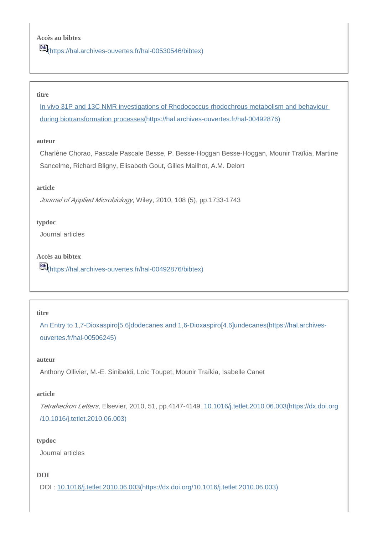## **Accès au bibtex**

[\(https://hal.archives-ouvertes.fr/hal-00530546/bibtex\)](https://hal.archives-ouvertes.fr/hal-00530546/bibtex)

#### **titre**

[In vivo 31P and 13C NMR investigations of Rhodococcus rhodochrous metabolism and behaviour](https://hal.archives-ouvertes.fr/hal-00492876)  [during biotransformation processes\(https://hal.archives-ouvertes.fr/hal-00492876\)](https://hal.archives-ouvertes.fr/hal-00492876)

#### **auteur**

Charlène Chorao, Pascale Pascale Besse, P. Besse-Hoggan Besse-Hoggan, Mounir Traïkia, Martine Sancelme, Richard Bligny, Elisabeth Gout, Gilles Mailhot, A.M. Delort

#### **article**

Journal of Applied Microbiology, Wiley, 2010, 108 (5), pp.1733-1743

#### **typdoc**

Journal articles

## **Accès au bibtex**

[6] [\(https://hal.archives-ouvertes.fr/hal-00492876/bibtex\)](https://hal.archives-ouvertes.fr/hal-00492876/bibtex)

#### **titre**

[An Entry to 1,7-Dioxaspiro\[5.6\]dodecanes and 1,6-Dioxaspiro\[4.6\]undecanes\(https://hal.archives](https://hal.archives-ouvertes.fr/hal-00506245)[ouvertes.fr/hal-00506245\)](https://hal.archives-ouvertes.fr/hal-00506245)

#### **auteur**

Anthony Ollivier, M.-E. Sinibaldi, Loïc Toupet, Mounir Traïkia, Isabelle Canet

#### **article**

Tetrahedron Letters, Elsevier, 2010, 51, pp.4147-4149. [10.1016/j.tetlet.2010.06.003\(https://dx.doi.org](https://dx.doi.org/10.1016/j.tetlet.2010.06.003) [/10.1016/j.tetlet.2010.06.003\)](https://dx.doi.org/10.1016/j.tetlet.2010.06.003)

#### **typdoc**

Journal articles

#### **DOI**

DOI : [10.1016/j.tetlet.2010.06.003\(https://dx.doi.org/10.1016/j.tetlet.2010.06.003\)](https://dx.doi.org/10.1016/j.tetlet.2010.06.003)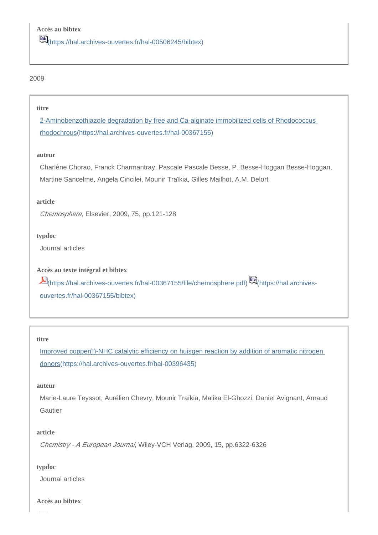#### **titre**

[2-Aminobenzothiazole degradation by free and Ca-alginate immobilized cells of Rhodococcus](https://hal.archives-ouvertes.fr/hal-00367155)  [rhodochrous\(https://hal.archives-ouvertes.fr/hal-00367155\)](https://hal.archives-ouvertes.fr/hal-00367155)

#### **auteur**

Charlène Chorao, Franck Charmantray, Pascale Pascale Besse, P. Besse-Hoggan Besse-Hoggan, Martine Sancelme, Angela Cincilei, Mounir Traïkia, Gilles Mailhot, A.M. Delort

#### **article**

Chemosphere, Elsevier, 2009, 75, pp.121-128

#### **typdoc**

Journal articles

**Accès au texte intégral et bibtex**

[\(https://hal.archives-ouvertes.fr/hal-00367155/file/chemosphere.pdf\)](https://hal.archives-ouvertes.fr/hal-00367155/file/chemosphere.pdf) [\(https://hal.archives](https://hal.archives-ouvertes.fr/hal-00367155/bibtex)[ouvertes.fr/hal-00367155/bibtex\)](https://hal.archives-ouvertes.fr/hal-00367155/bibtex)

#### **titre**

[Improved copper\(I\)-NHC catalytic efficiency on huisgen reaction by addition of aromatic nitrogen](https://hal.archives-ouvertes.fr/hal-00396435)  [donors\(https://hal.archives-ouvertes.fr/hal-00396435\)](https://hal.archives-ouvertes.fr/hal-00396435)

#### **auteur**

Marie-Laure Teyssot, Aurélien Chevry, Mounir Traïkia, Malika El-Ghozzi, Daniel Avignant, Arnaud Gautier

#### **article**

Chemistry - A European Journal, Wiley-VCH Verlag, 2009, 15, pp.6322-6326

#### **typdoc**

Journal articles

**Accès au bibtex**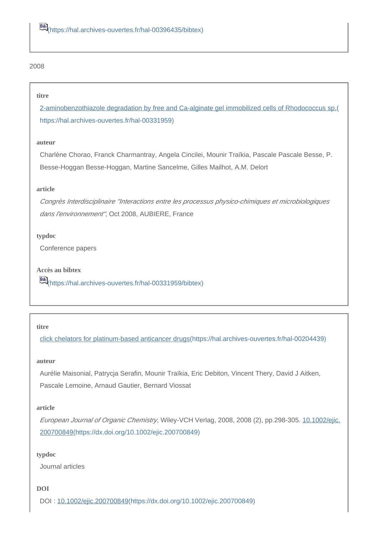#### **titre**

[2-aminobenzothiazole degradation by free and Ca-alginate gel immobilized cells of Rhodococcus sp.\(](https://hal.archives-ouvertes.fr/hal-00331959) [https://hal.archives-ouvertes.fr/hal-00331959\)](https://hal.archives-ouvertes.fr/hal-00331959)

#### **auteur**

Charlène Chorao, Franck Charmantray, Angela Cincilei, Mounir Traïkia, Pascale Pascale Besse, P. Besse-Hoggan Besse-Hoggan, Martine Sancelme, Gilles Mailhot, A.M. Delort

#### **article**

Congrès Interdisciplinaire "Interactions entre les processus physico-chimiques et microbiologiques dans l'environnement", Oct 2008, AUBIERE, France

#### **typdoc**

Conference papers

**Accès au bibtex** [\(https://hal.archives-ouvertes.fr/hal-00331959/bibtex\)](https://hal.archives-ouvertes.fr/hal-00331959/bibtex)

#### **titre**

[click chelators for platinum-based anticancer drugs\(https://hal.archives-ouvertes.fr/hal-00204439\)](https://hal.archives-ouvertes.fr/hal-00204439)

#### **auteur**

Aurélie Maisonial, Patrycja Serafin, Mounir Traïkia, Eric Debiton, Vincent Thery, David J Aitken, Pascale Lemoine, Arnaud Gautier, Bernard Viossat

#### **article**

European Journal of Organic Chemistry, Wiley-VCH Verlag, 2008, 2008 (2), pp.298-305. [10.1002/ejic.](https://dx.doi.org/10.1002/ejic.200700849) [200700849\(https://dx.doi.org/10.1002/ejic.200700849\)](https://dx.doi.org/10.1002/ejic.200700849)

#### **typdoc**

Journal articles

#### **DOI**

DOI : [10.1002/ejic.200700849\(https://dx.doi.org/10.1002/ejic.200700849\)](https://dx.doi.org/10.1002/ejic.200700849)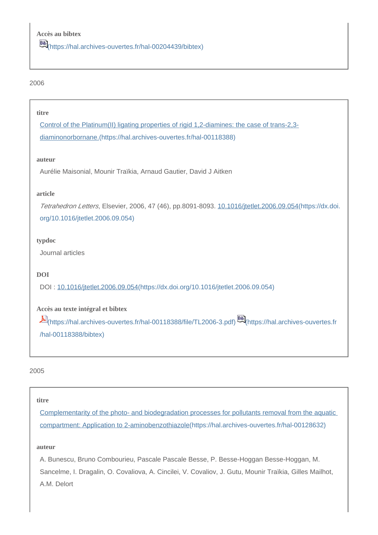#### **titre**

[Control of the Platinum\(II\) ligating properties of rigid 1,2-diamines: the case of trans-2,3](https://hal.archives-ouvertes.fr/hal-00118388) [diaminonorbornane.\(https://hal.archives-ouvertes.fr/hal-00118388\)](https://hal.archives-ouvertes.fr/hal-00118388)

#### **auteur**

Aurélie Maisonial, Mounir Traïkia, Arnaud Gautier, David J Aitken

#### **article**

Tetrahedron Letters, Elsevier, 2006, 47 (46), pp.8091-8093. [10.1016/jtetlet.2006.09.054\(https://dx.doi.](https://dx.doi.org/10.1016/jtetlet.2006.09.054) [org/10.1016/jtetlet.2006.09.054\)](https://dx.doi.org/10.1016/jtetlet.2006.09.054)

## **typdoc**

Journal articles

## **DOI**

DOI : [10.1016/jtetlet.2006.09.054\(https://dx.doi.org/10.1016/jtetlet.2006.09.054\)](https://dx.doi.org/10.1016/jtetlet.2006.09.054)

## **Accès au texte intégral et bibtex**

[\(https://hal.archives-ouvertes.fr/hal-00118388/file/TL2006-3.pdf\)](https://hal.archives-ouvertes.fr/hal-00118388/file/TL2006-3.pdf) [\(https://hal.archives-ouvertes.fr](https://hal.archives-ouvertes.fr/hal-00118388/bibtex) [/hal-00118388/bibtex\)](https://hal.archives-ouvertes.fr/hal-00118388/bibtex)

## 2005

## **titre**

[Complementarity of the photo- and biodegradation processes for pollutants removal from the aquatic](https://hal.archives-ouvertes.fr/hal-00128632)  [compartment: Application to 2-aminobenzothiazole\(https://hal.archives-ouvertes.fr/hal-00128632\)](https://hal.archives-ouvertes.fr/hal-00128632)

## **auteur**

A. Bunescu, Bruno Combourieu, Pascale Pascale Besse, P. Besse-Hoggan Besse-Hoggan, M. Sancelme, I. Dragalin, O. Covaliova, A. Cincilei, V. Covaliov, J. Gutu, Mounir Traïkia, Gilles Mailhot, A.M. Delort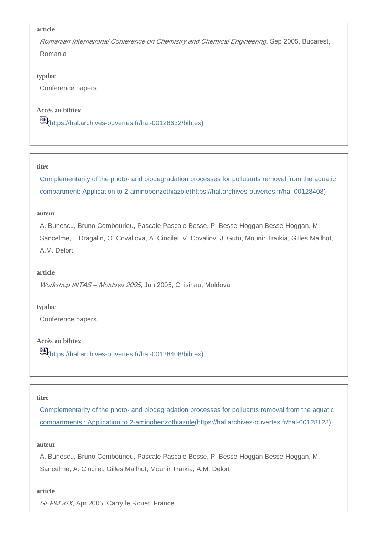Romanian International Conference on Chemistry and Chemical Engineering, Sep 2005, Bucarest, Romania

#### **typdoc**

Conference papers

## **Accès au bibtex**

[\(https://hal.archives-ouvertes.fr/hal-00128632/bibtex\)](https://hal.archives-ouvertes.fr/hal-00128632/bibtex)

#### **titre**

[Complementarity of the photo- and biodegradation processes for pollutants removal from the aquatic](https://hal.archives-ouvertes.fr/hal-00128408)  [compartment: Application to 2-aminobenzothiazole\(https://hal.archives-ouvertes.fr/hal-00128408\)](https://hal.archives-ouvertes.fr/hal-00128408)

#### **auteur**

A. Bunescu, Bruno Combourieu, Pascale Pascale Besse, P. Besse-Hoggan Besse-Hoggan, M. Sancelme, I. Dragalin, O. Covaliova, A. Cincilei, V. Covaliov, J. Gutu, Mounir Traïkia, Gilles Mailhot, A.M. Delort

#### **article**

Workshop INTAS – Moldova 2005, Jun 2005, Chisinau, Moldova

#### **typdoc**

Conference papers

## **Accès au bibtex**

[6] [\(https://hal.archives-ouvertes.fr/hal-00128408/bibtex\)](https://hal.archives-ouvertes.fr/hal-00128408/bibtex)

#### **titre**

[Complementarity of the photo- and biodegradation processes for polluants removal from the aquatic](https://hal.archives-ouvertes.fr/hal-00128128)  [compartments : Application to 2-aminobenzothiazole\(https://hal.archives-ouvertes.fr/hal-00128128\)](https://hal.archives-ouvertes.fr/hal-00128128)

#### **auteur**

A. Bunescu, Bruno Combourieu, Pascale Pascale Besse, P. Besse-Hoggan Besse-Hoggan, M. Sancelme, A. Cincilei, Gilles Mailhot, Mounir Traïkia, A.M. Delort

#### **article**

GERM XIX, Apr 2005, Carry le Rouet, France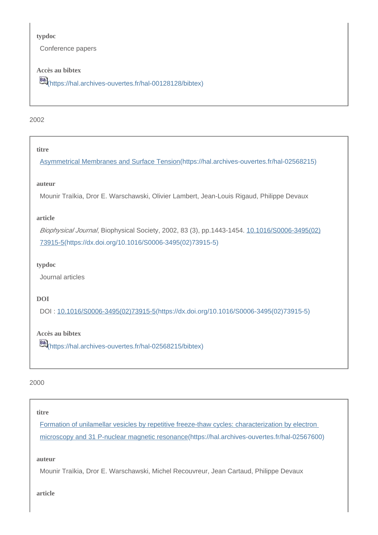#### **typdoc**

Conference papers

## **Accès au bibtex**

[\(https://hal.archives-ouvertes.fr/hal-00128128/bibtex\)](https://hal.archives-ouvertes.fr/hal-00128128/bibtex)

#### 2002

## **titre**

[Asymmetrical Membranes and Surface Tension\(https://hal.archives-ouvertes.fr/hal-02568215\)](https://hal.archives-ouvertes.fr/hal-02568215)

#### **auteur**

Mounir Traïkia, Dror E. Warschawski, Olivier Lambert, Jean-Louis Rigaud, Philippe Devaux

#### **article**

Biophysical Journal, Biophysical Society, 2002, 83 (3), pp.1443-1454. [10.1016/S0006-3495\(02\)](https://dx.doi.org/10.1016/S0006-3495(02)73915-5) [73915-5\(https://dx.doi.org/10.1016/S0006-3495\(02\)73915-5\)](https://dx.doi.org/10.1016/S0006-3495(02)73915-5)

#### **typdoc**

Journal articles

## **DOI**

DOI : [10.1016/S0006-3495\(02\)73915-5\(https://dx.doi.org/10.1016/S0006-3495\(02\)73915-5\)](https://dx.doi.org/10.1016/S0006-3495(02)73915-5)

## **Accès au bibtex**

[\(https://hal.archives-ouvertes.fr/hal-02568215/bibtex\)](https://hal.archives-ouvertes.fr/hal-02568215/bibtex)

## 2000

## **titre**

[Formation of unilamellar vesicles by repetitive freeze-thaw cycles: characterization by electron](https://hal.archives-ouvertes.fr/hal-02567600)  [microscopy and 31 P-nuclear magnetic resonance\(https://hal.archives-ouvertes.fr/hal-02567600\)](https://hal.archives-ouvertes.fr/hal-02567600)

**auteur**

Mounir Traïkia, Dror E. Warschawski, Michel Recouvreur, Jean Cartaud, Philippe Devaux

**article**